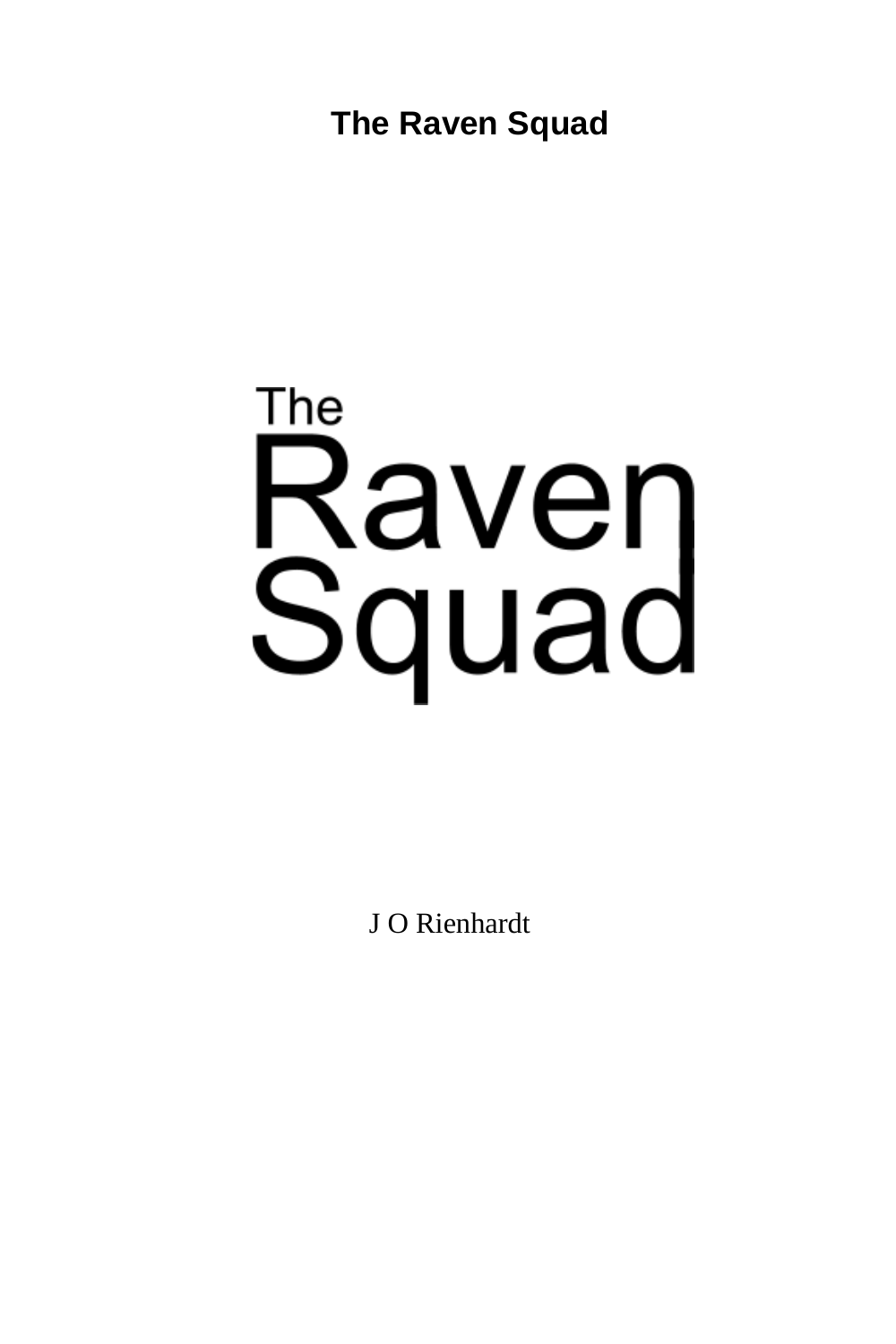**The Raven Squad**

# The **Raven**<br>Squad

J O Rienhardt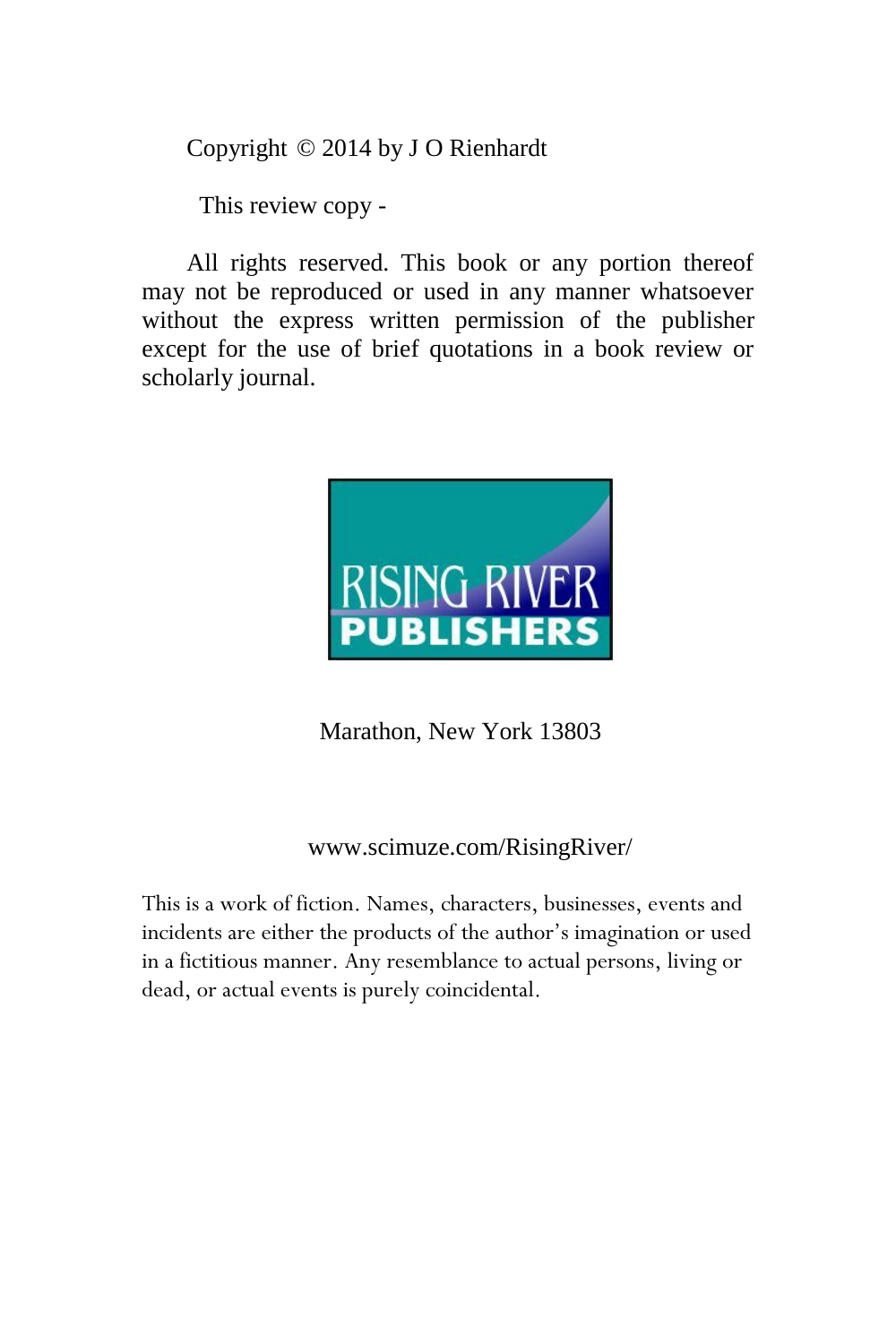Copyright © 2014 by J O Rienhardt

This review copy -

All rights reserved. This book or any portion thereof may not be reproduced or used in any manner whatsoever without the express written permission of the publisher except for the use of brief quotations in a book review or scholarly journal.



Marathon, New York 13803

### www.scimuze.com/RisingRiver/

This is a work of fiction. Names, characters, businesses, events and incidents are either the products of the author's imagination or used in a fictitious manner. Any resemblance to actual persons, living or dead, or actual events is purely coincidental.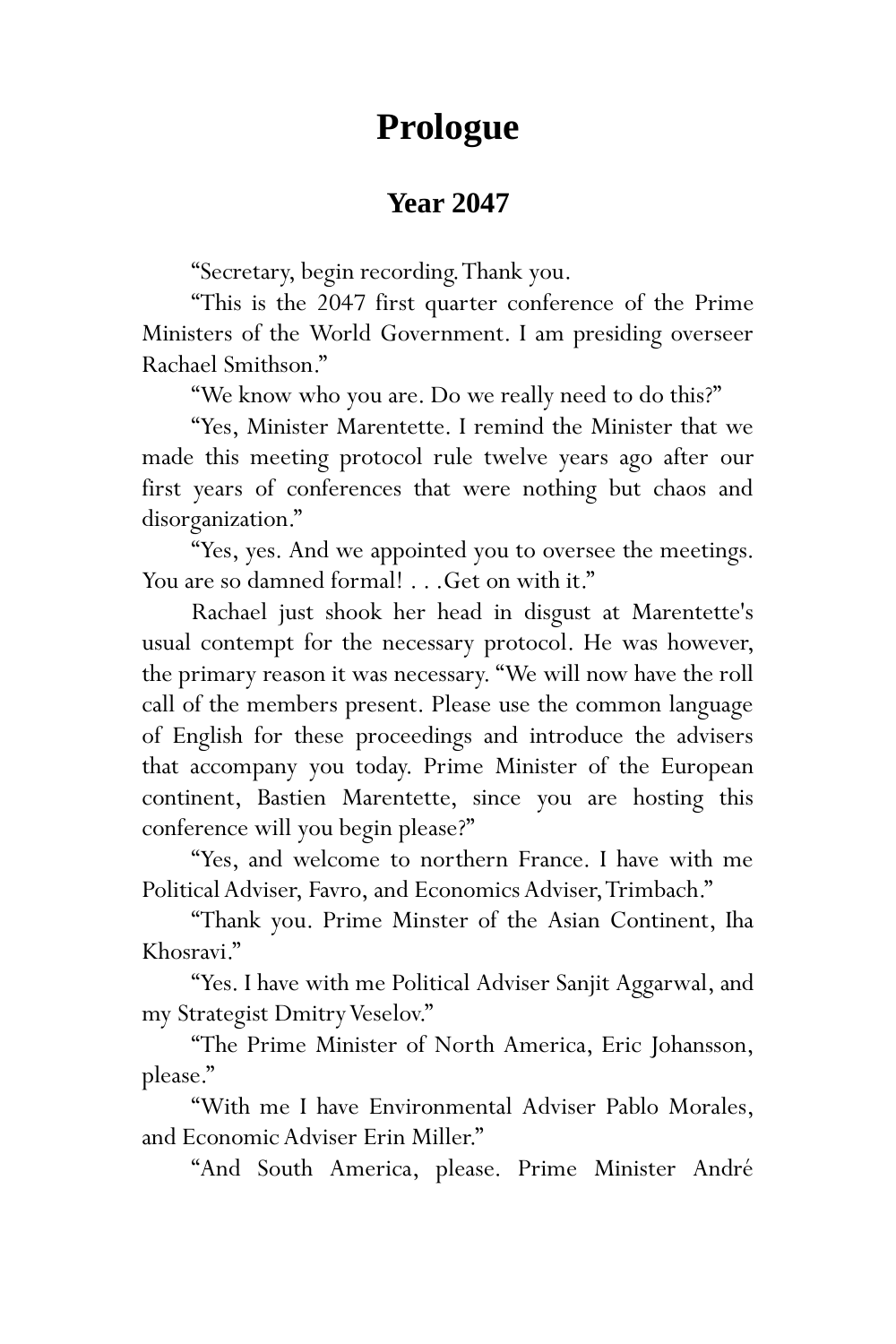# **Prologue**

## **Year 2047**

"Secretary, begin recording. Thank you.

"This is the 2047 first quarter conference of the Prime Ministers of the World Government. I am presiding overseer Rachael Smithson."

"We know who you are. Do we really need to do this?"

"Yes, Minister Marentette. I remind the Minister that we made this meeting protocol rule twelve years ago after our first years of conferences that were nothing but chaos and disorganization."

"Yes, yes. And we appointed you to oversee the meetings. You are so damned formal! . . . Get on with it."

Rachael just shook her head in disgust at Marentette's usual contempt for the necessary protocol. He was however, the primary reason it was necessary. "We will now have the roll call of the members present. Please use the common language of English for these proceedings and introduce the advisers that accompany you today. Prime Minister of the European continent, Bastien Marentette, since you are hosting this conference will you begin please?"

"Yes, and welcome to northern France. I have with me Political Adviser, Favro, and Economics Adviser, Trimbach."

"Thank you. Prime Minster of the Asian Continent, Iha Khosravi."

"Yes. I have with me Political Adviser Sanjit Aggarwal, and my Strategist Dmitry Veselov."

"The Prime Minister of North America, Eric Johansson, please."

"With me I have Environmental Adviser Pablo Morales, and Economic Adviser Erin Miller."

"And South America, please. Prime Minister André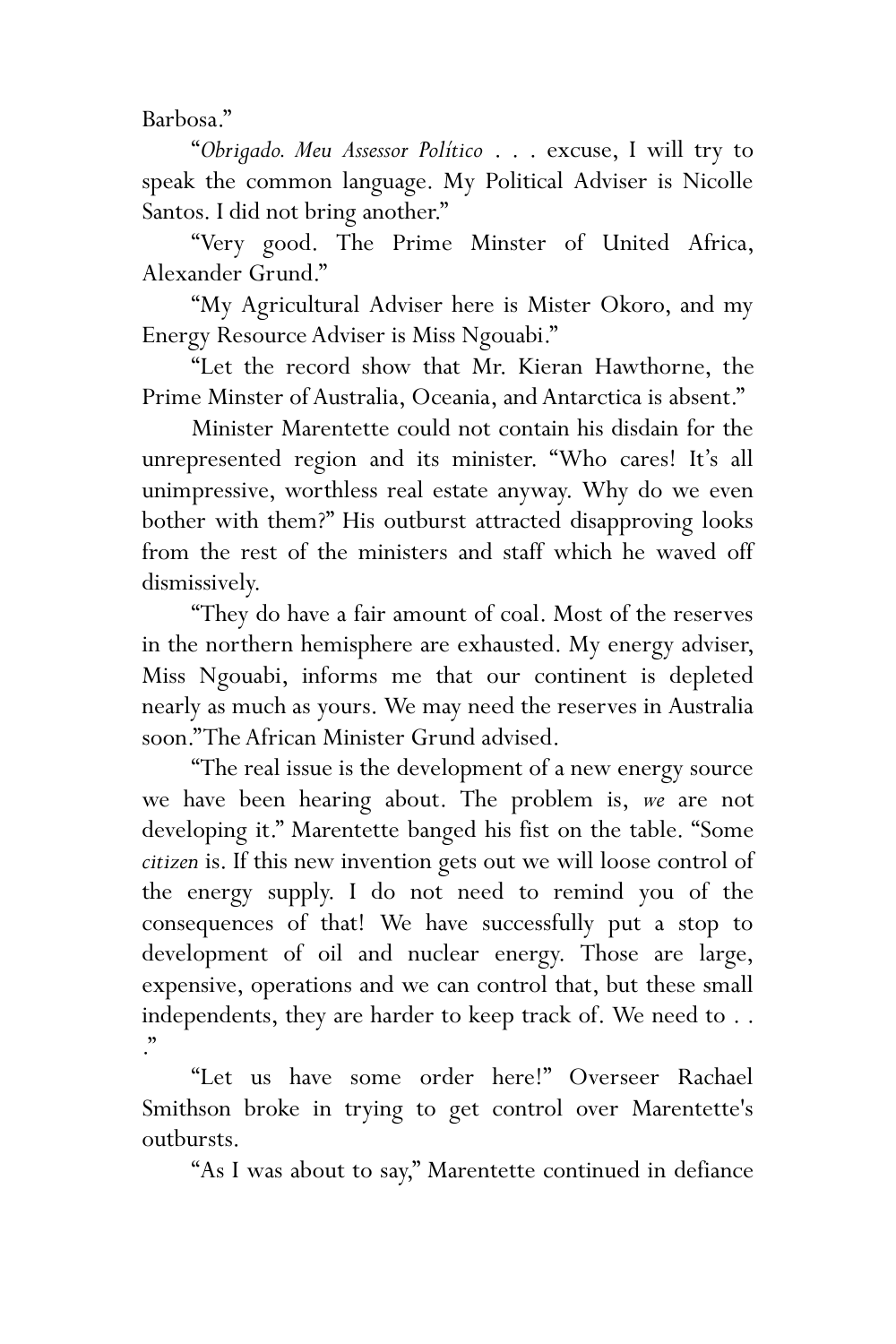Barbosa."

"*Obrigado. Meu Assessor Político* . . . excuse, I will try to speak the common language. My Political Adviser is Nicolle Santos. I did not bring another."

"Very good. The Prime Minster of United Africa, Alexander Grund."

"My Agricultural Adviser here is Mister Okoro, and my Energy Resource Adviser is Miss Ngouabi."

"Let the record show that Mr. Kieran Hawthorne, the Prime Minster of Australia, Oceania, and Antarctica is absent."

Minister Marentette could not contain his disdain for the unrepresented region and its minister. "Who cares! It's all unimpressive, worthless real estate anyway. Why do we even bother with them?" His outburst attracted disapproving looks from the rest of the ministers and staff which he waved off dismissively.

"They do have a fair amount of coal. Most of the reserves in the northern hemisphere are exhausted. My energy adviser, Miss Ngouabi, informs me that our continent is depleted nearly as much as yours. We may need the reserves in Australia soon." The African Minister Grund advised.

"The real issue is the development of a new energy source we have been hearing about. The problem is, *we* are not developing it." Marentette banged his fist on the table. "Some *citizen* is. If this new invention gets out we will loose control of the energy supply. I do not need to remind you of the consequences of that! We have successfully put a stop to development of oil and nuclear energy. Those are large, expensive, operations and we can control that, but these small independents, they are harder to keep track of. We need to . . ."

"Let us have some order here!" Overseer Rachael Smithson broke in trying to get control over Marentette's outbursts.

"As I was about to say," Marentette continued in defiance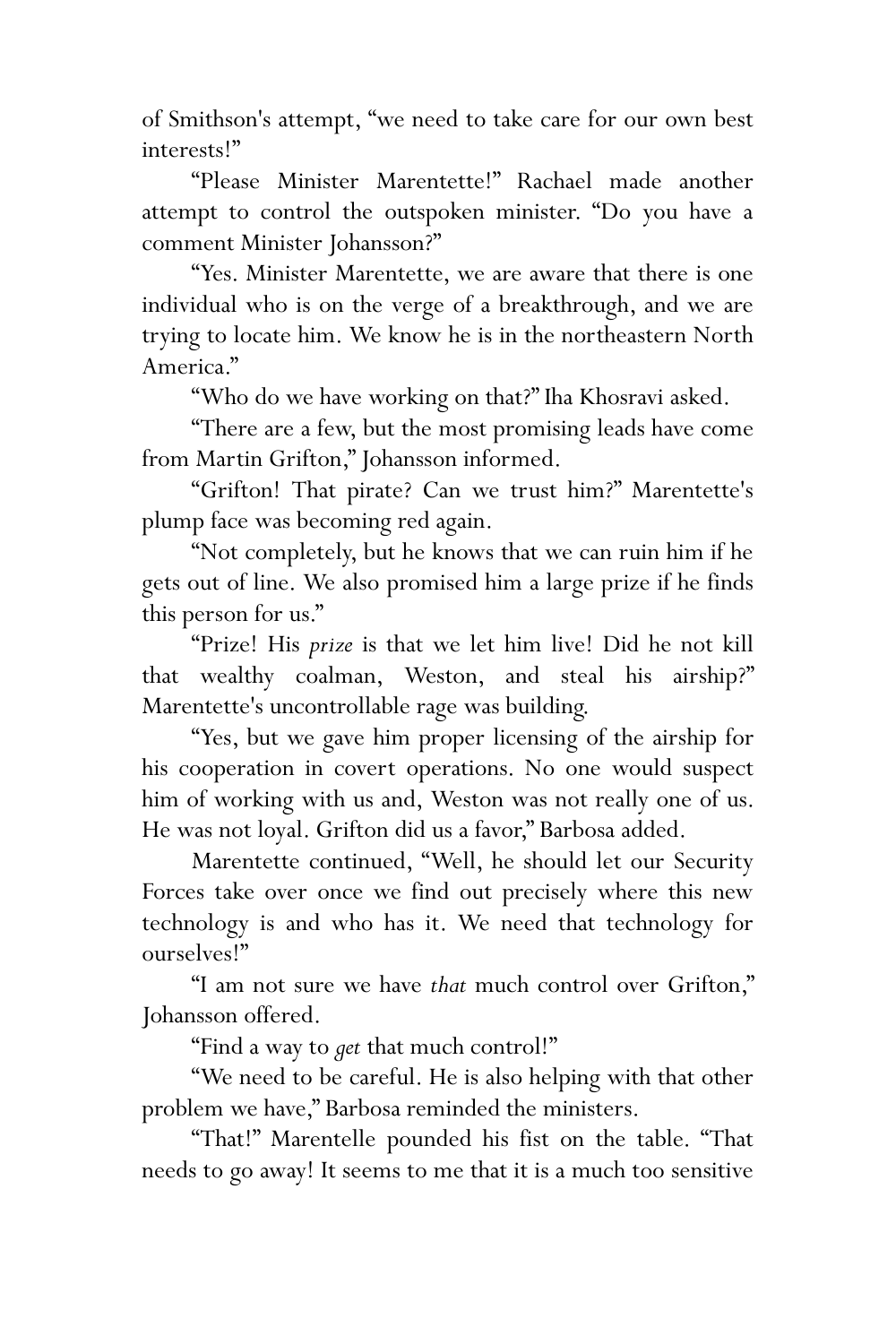of Smithson's attempt, "we need to take care for our own best interests!"

"Please Minister Marentette!" Rachael made another attempt to control the outspoken minister. "Do you have a comment Minister Johansson?"

"Yes. Minister Marentette, we are aware that there is one individual who is on the verge of a breakthrough, and we are trying to locate him. We know he is in the northeastern North America."

"Who do we have working on that?" Iha Khosravi asked.

"There are a few, but the most promising leads have come from Martin Grifton," Johansson informed.

"Grifton! That pirate? Can we trust him?" Marentette's plump face was becoming red again.

"Not completely, but he knows that we can ruin him if he gets out of line. We also promised him a large prize if he finds this person for us."

"Prize! His *prize* is that we let him live! Did he not kill that wealthy coalman, Weston, and steal his airship?" Marentette's uncontrollable rage was building.

"Yes, but we gave him proper licensing of the airship for his cooperation in covert operations. No one would suspect him of working with us and, Weston was not really one of us. He was not loyal. Grifton did us a favor," Barbosa added.

Marentette continued, "Well, he should let our Security Forces take over once we find out precisely where this new technology is and who has it. We need that technology for ourselves!"

"I am not sure we have *that* much control over Grifton," Johansson offered.

"Find a way to *get* that much control!"

"We need to be careful. He is also helping with that other problem we have," Barbosa reminded the ministers.

"That!" Marentelle pounded his fist on the table. "That needs to go away! It seems to me that it is a much too sensitive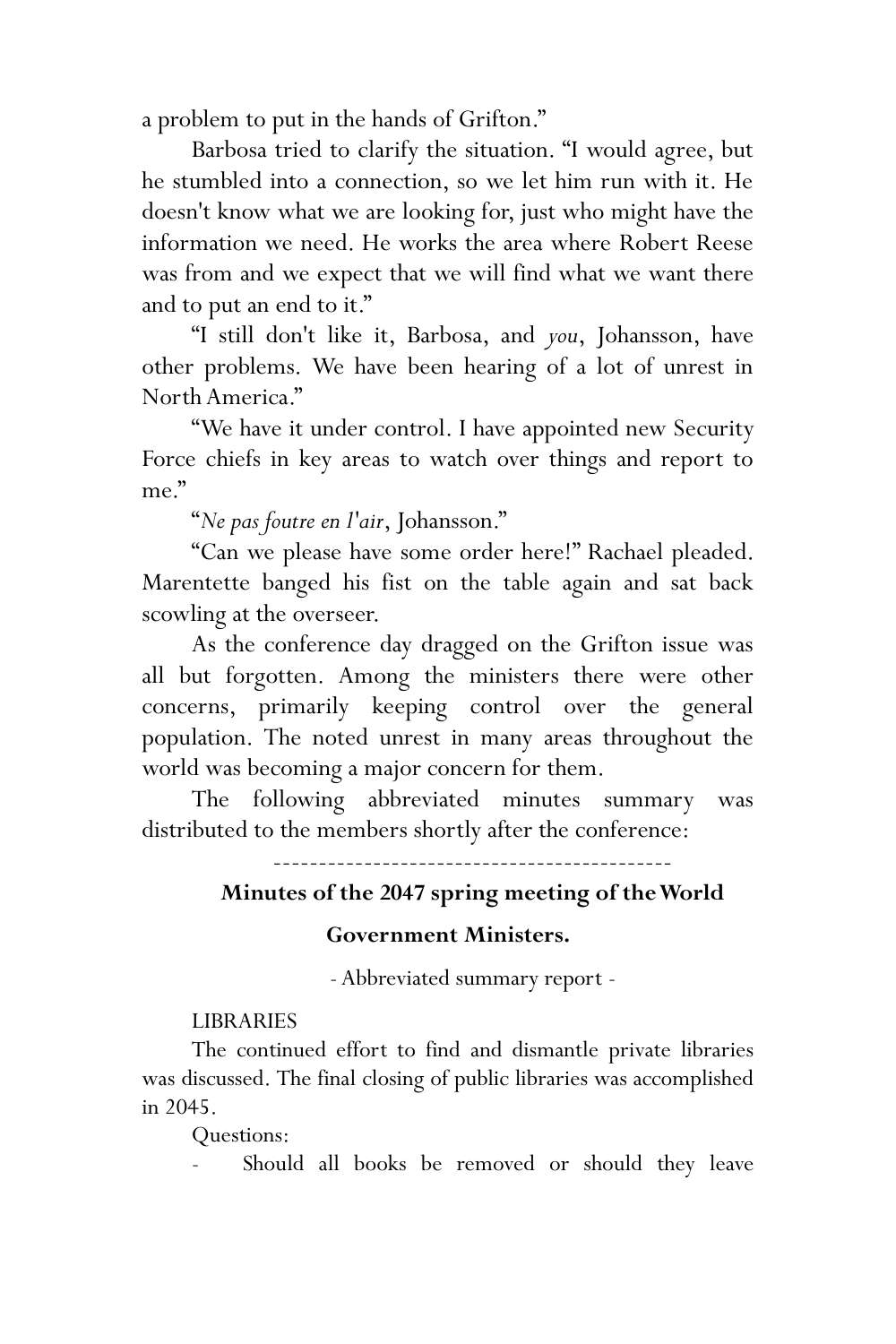a problem to put in the hands of Grifton."

Barbosa tried to clarify the situation. "I would agree, but he stumbled into a connection, so we let him run with it. He doesn't know what we are looking for, just who might have the information we need. He works the area where Robert Reese was from and we expect that we will find what we want there and to put an end to it."

"I still don't like it, Barbosa, and *you*, Johansson, have other problems. We have been hearing of a lot of unrest in North America."

"We have it under control. I have appointed new Security Force chiefs in key areas to watch over things and report to me."

"*Ne pas foutre en l'air*, Johansson."

"Can we please have some order here!" Rachael pleaded. Marentette banged his fist on the table again and sat back scowling at the overseer.

As the conference day dragged on the Grifton issue was all but forgotten. Among the ministers there were other concerns, primarily keeping control over the general population. The noted unrest in many areas throughout the world was becoming a major concern for them.

The following abbreviated minutes summary was distributed to the members shortly after the conference:

## --------------------------------------------

#### **Minutes of the 2047 spring meeting of the World**

#### **Government Ministers.**

-Abbreviated summary report -

#### **LIBRARIES**

The continued effort to find and dismantle private libraries was discussed. The final closing of public libraries was accomplished in 2045.

Questions:

Should all books be removed or should they leave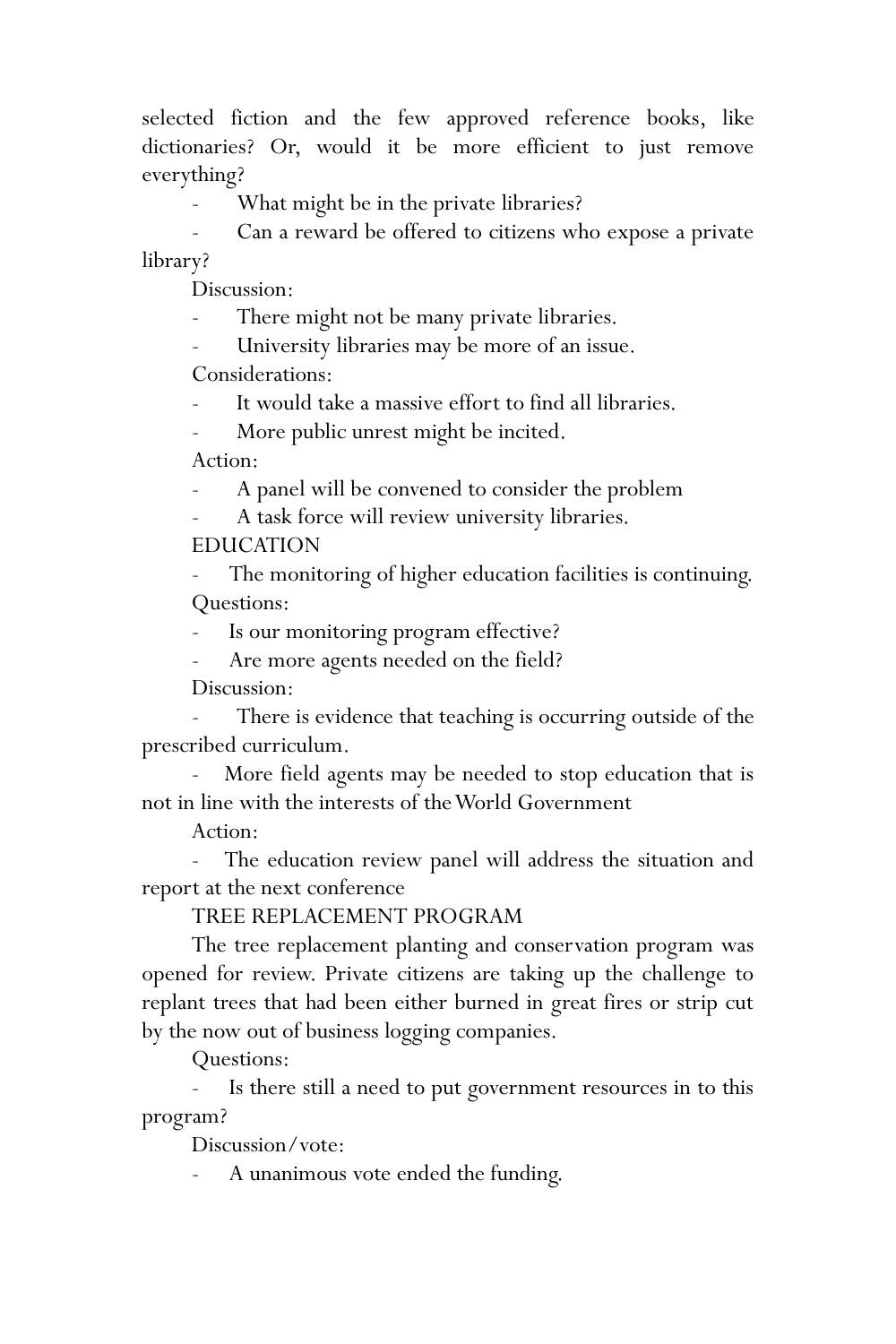selected fiction and the few approved reference books, like dictionaries? Or, would it be more efficient to just remove everything?

What might be in the private libraries?

Can a reward be offered to citizens who expose a private library?

Discussion:

There might not be many private libraries.

- University libraries may be more of an issue. Considerations:

It would take a massive effort to find all libraries.

More public unrest might be incited.

Action:

A panel will be convened to consider the problem

A task force will review university libraries. EDUCATION

The monitoring of higher education facilities is continuing. Questions:

Is our monitoring program effective?

Are more agents needed on the field?

Discussion:

There is evidence that teaching is occurring outside of the prescribed curriculum.

More field agents may be needed to stop education that is not in line with the interests of the World Government

Action:

The education review panel will address the situation and report at the next conference

TREE REPLACEMENT PROGRAM

The tree replacement planting and conservation program was opened for review. Private citizens are taking up the challenge to replant trees that had been either burned in great fires or strip cut by the now out of business logging companies.

Questions:

Is there still a need to put government resources in to this program?

Discussion/vote:

A unanimous vote ended the funding.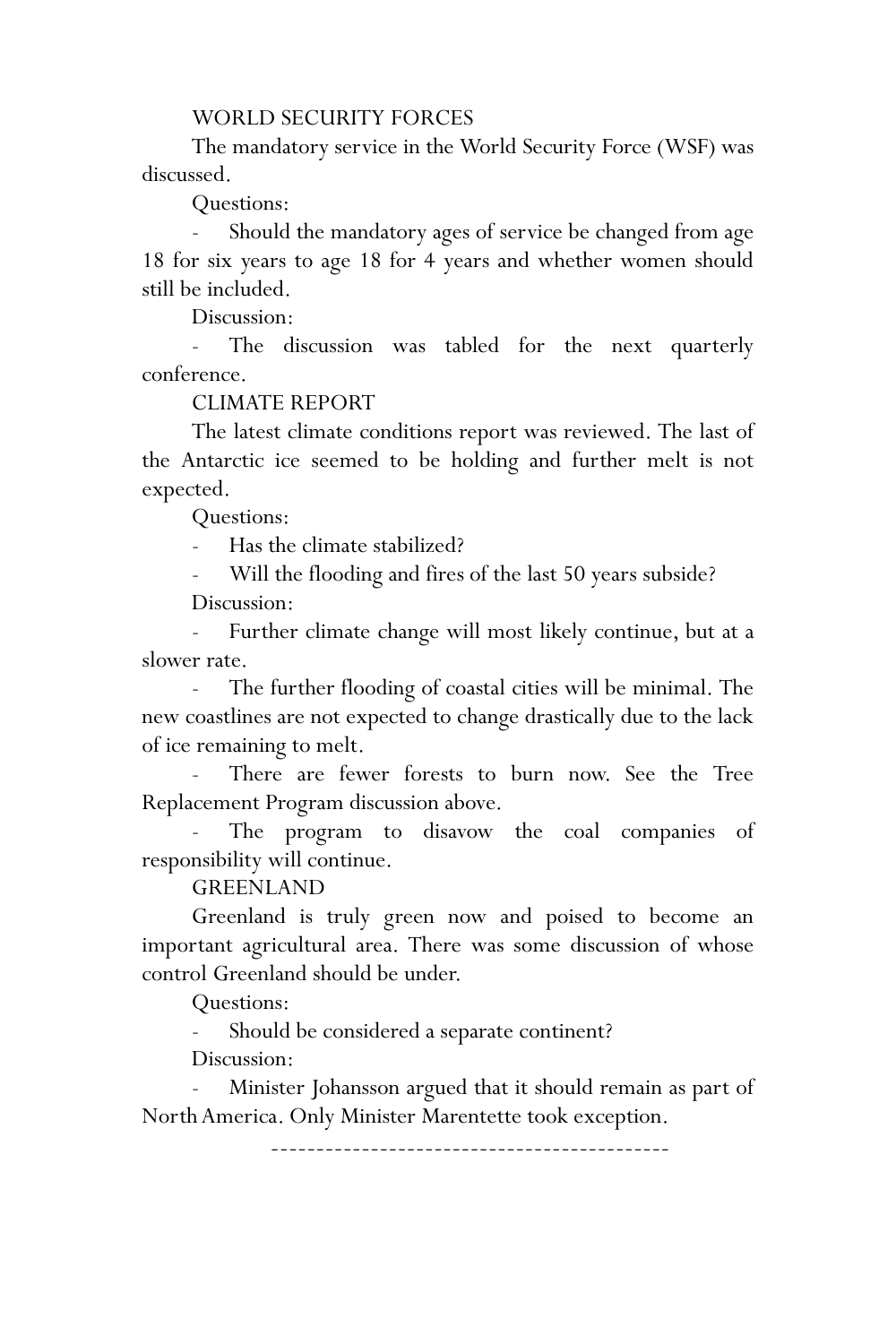#### WORLD SECURITY FORCES

The mandatory service in the World Security Force (WSF) was discussed.

Questions:

Should the mandatory ages of service be changed from age 18 for six years to age 18 for 4 years and whether women should still be included.

Discussion:

The discussion was tabled for the next quarterly conference.

#### CLIMATE REPORT

The latest climate conditions report was reviewed. The last of the Antarctic ice seemed to be holding and further melt is not expected.

Questions:

Has the climate stabilized?

Will the flooding and fires of the last 50 years subside?

Discussion:

- Further climate change will most likely continue, but at a slower rate.

The further flooding of coastal cities will be minimal. The new coastlines are not expected to change drastically due to the lack of ice remaining to melt.

- There are fewer forests to burn now. See the Tree Replacement Program discussion above.

The program to disavow the coal companies of responsibility will continue.

#### GREENLAND

Greenland is truly green now and poised to become an important agricultural area. There was some discussion of whose control Greenland should be under.

Questions:

Should be considered a separate continent?

Discussion:

Minister Johansson argued that it should remain as part of North America. Only Minister Marentette took exception.

--------------------------------------------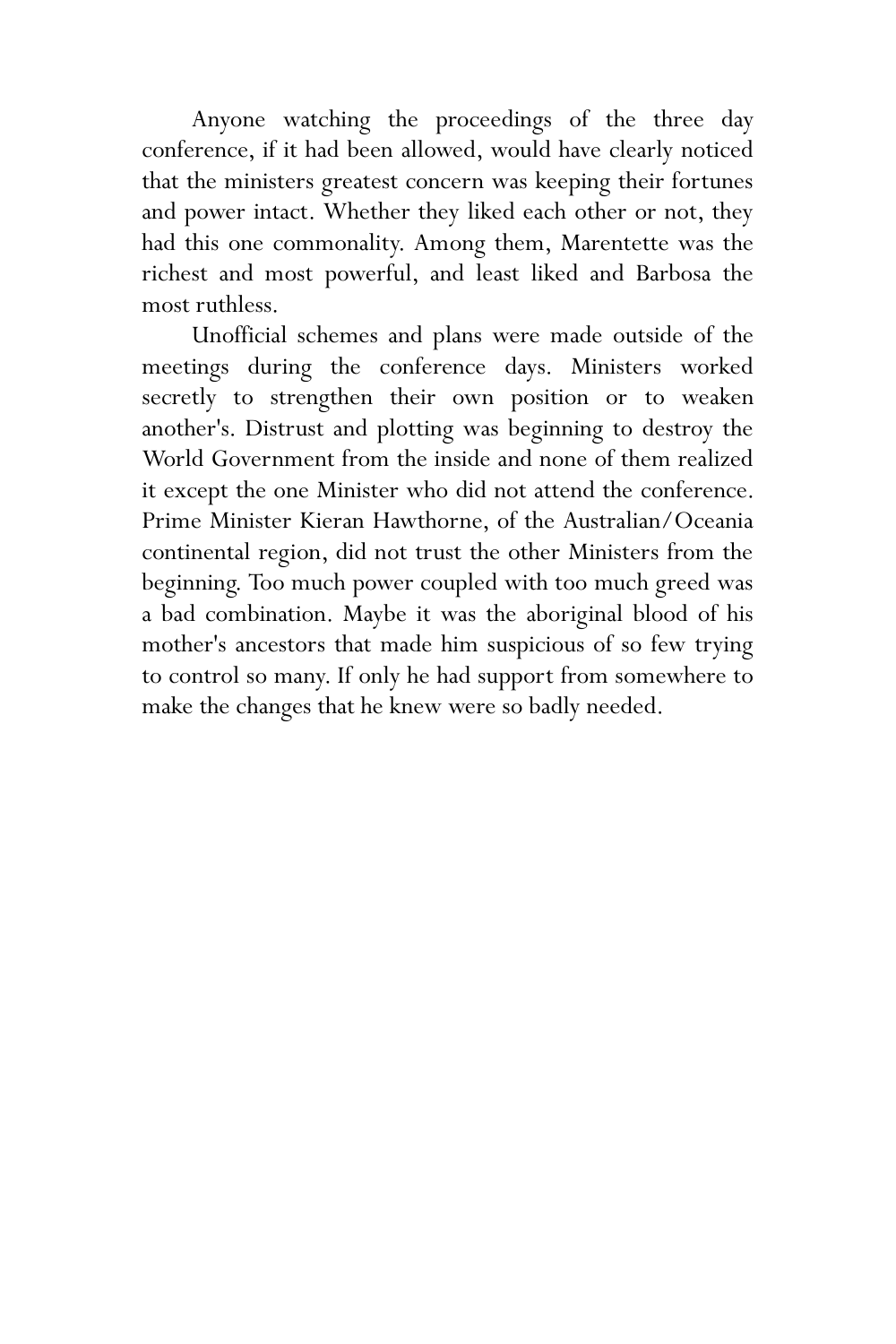Anyone watching the proceedings of the three day conference, if it had been allowed, would have clearly noticed that the ministers greatest concern was keeping their fortunes and power intact. Whether they liked each other or not, they had this one commonality. Among them, Marentette was the richest and most powerful, and least liked and Barbosa the most ruthless.

Unofficial schemes and plans were made outside of the meetings during the conference days. Ministers worked secretly to strengthen their own position or to weaken another's. Distrust and plotting was beginning to destroy the World Government from the inside and none of them realized it except the one Minister who did not attend the conference. Prime Minister Kieran Hawthorne, of the Australian/Oceania continental region, did not trust the other Ministers from the beginning. Too much power coupled with too much greed was a bad combination. Maybe it was the aboriginal blood of his mother's ancestors that made him suspicious of so few trying to control so many. If only he had support from somewhere to make the changes that he knew were so badly needed.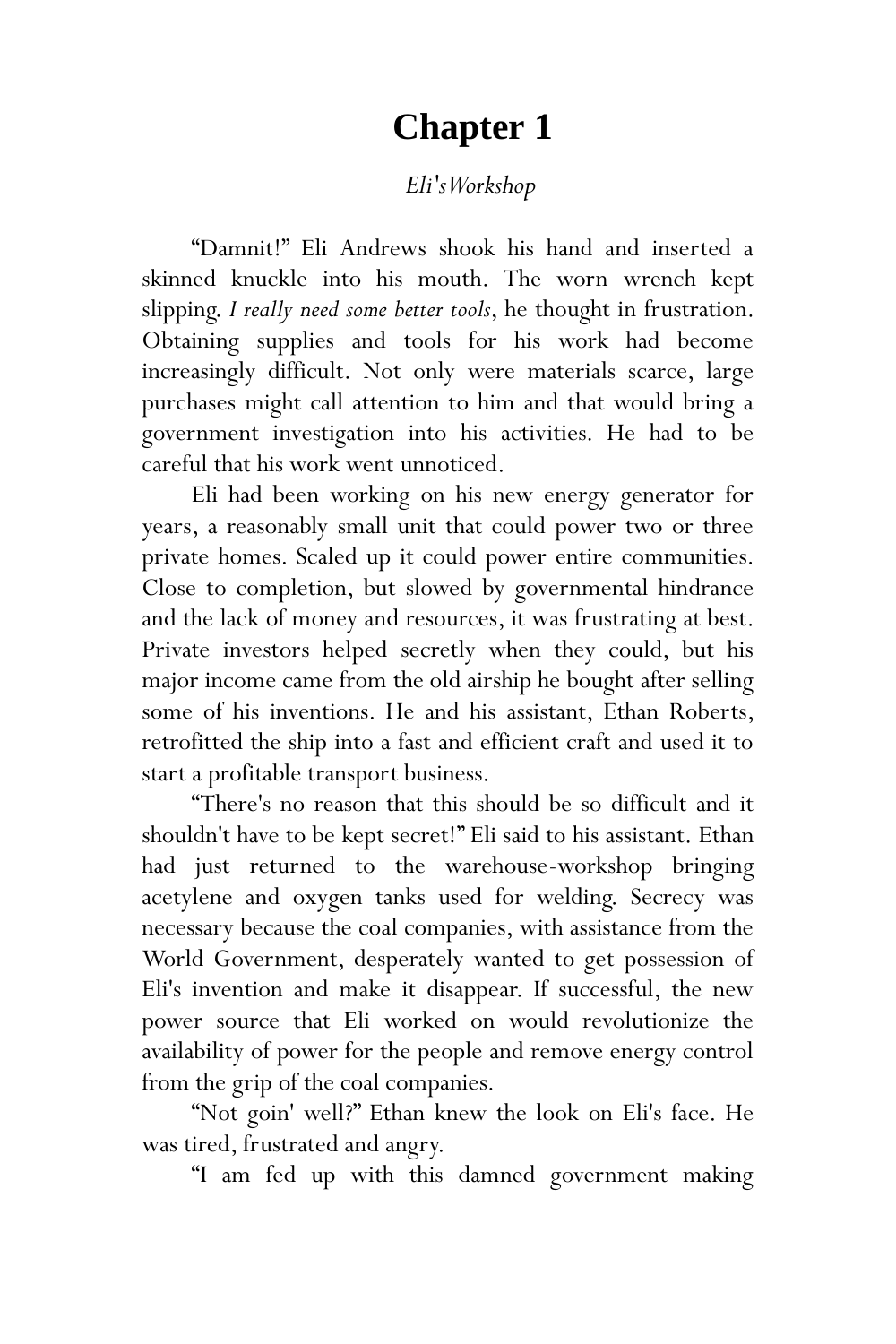# **Chapter 1**

## *Eli's Workshop*

"Damnit!" Eli Andrews shook his hand and inserted a skinned knuckle into his mouth. The worn wrench kept slipping. *I really need some better tools*, he thought in frustration. Obtaining supplies and tools for his work had become increasingly difficult. Not only were materials scarce, large purchases might call attention to him and that would bring a government investigation into his activities. He had to be careful that his work went unnoticed.

Eli had been working on his new energy generator for years, a reasonably small unit that could power two or three private homes. Scaled up it could power entire communities. Close to completion, but slowed by governmental hindrance and the lack of money and resources, it was frustrating at best. Private investors helped secretly when they could, but his major income came from the old airship he bought after selling some of his inventions. He and his assistant, Ethan Roberts, retrofitted the ship into a fast and efficient craft and used it to start a profitable transport business.

"There's no reason that this should be so difficult and it shouldn't have to be kept secret!" Eli said to his assistant. Ethan had just returned to the warehouse-workshop bringing acetylene and oxygen tanks used for welding. Secrecy was necessary because the coal companies, with assistance from the World Government, desperately wanted to get possession of Eli's invention and make it disappear. If successful, the new power source that Eli worked on would revolutionize the availability of power for the people and remove energy control from the grip of the coal companies.

"Not goin' well?" Ethan knew the look on Eli's face. He was tired, frustrated and angry.

"I am fed up with this damned government making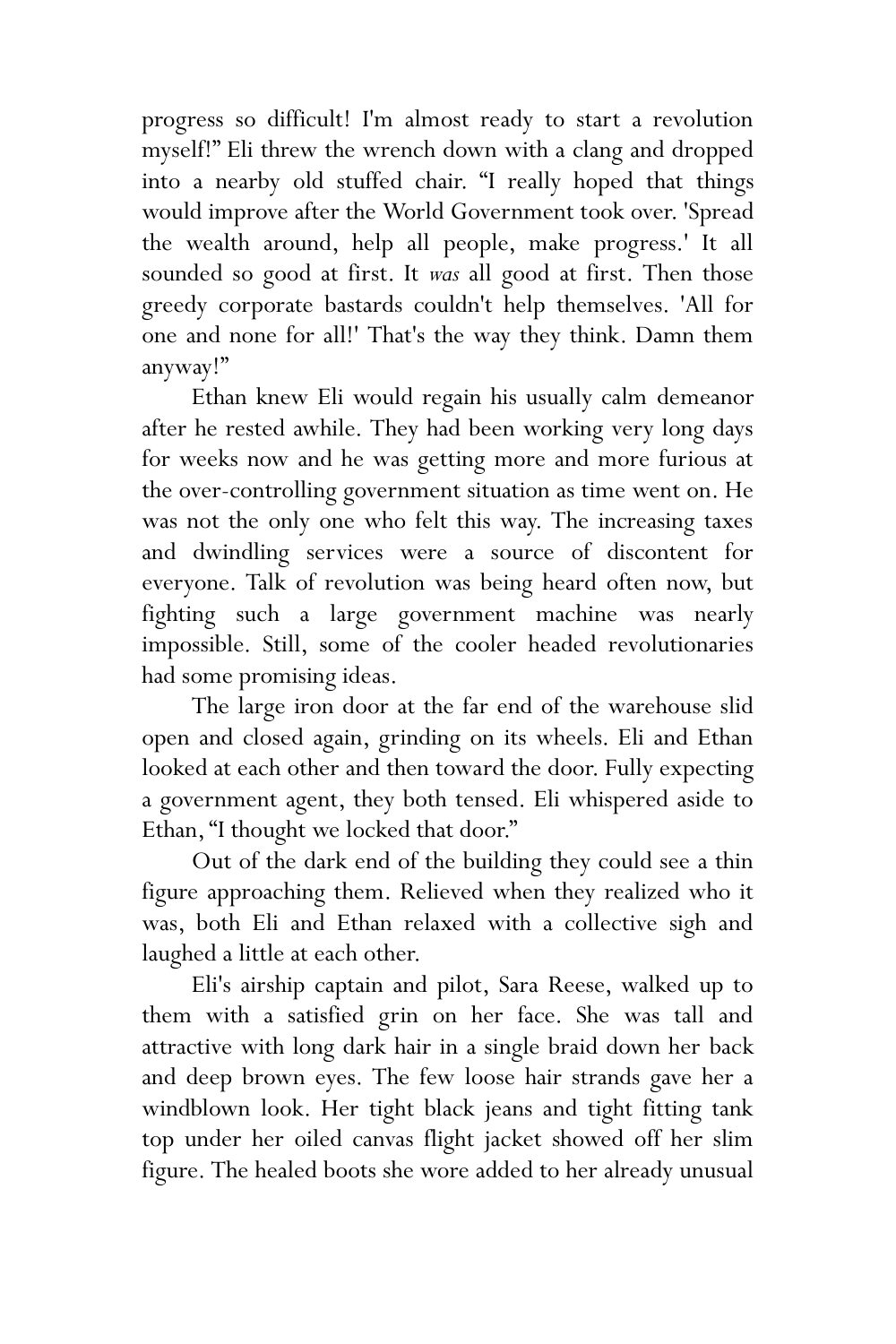progress so difficult! I'm almost ready to start a revolution myself!" Eli threw the wrench down with a clang and dropped into a nearby old stuffed chair. "I really hoped that things would improve after the World Government took over. 'Spread the wealth around, help all people, make progress.' It all sounded so good at first. It *was* all good at first. Then those greedy corporate bastards couldn't help themselves. 'All for one and none for all!' That's the way they think. Damn them anyway!"

Ethan knew Eli would regain his usually calm demeanor after he rested awhile. They had been working very long days for weeks now and he was getting more and more furious at the over-controlling government situation as time went on. He was not the only one who felt this way. The increasing taxes and dwindling services were a source of discontent for everyone. Talk of revolution was being heard often now, but fighting such a large government machine was nearly impossible. Still, some of the cooler headed revolutionaries had some promising ideas.

The large iron door at the far end of the warehouse slid open and closed again, grinding on its wheels. Eli and Ethan looked at each other and then toward the door. Fully expecting a government agent, they both tensed. Eli whispered aside to Ethan, "I thought we locked that door."

Out of the dark end of the building they could see a thin figure approaching them. Relieved when they realized who it was, both Eli and Ethan relaxed with a collective sigh and laughed a little at each other.

Eli's airship captain and pilot, Sara Reese, walked up to them with a satisfied grin on her face. She was tall and attractive with long dark hair in a single braid down her back and deep brown eyes. The few loose hair strands gave her a windblown look. Her tight black jeans and tight fitting tank top under her oiled canvas flight jacket showed off her slim figure. The healed boots she wore added to her already unusual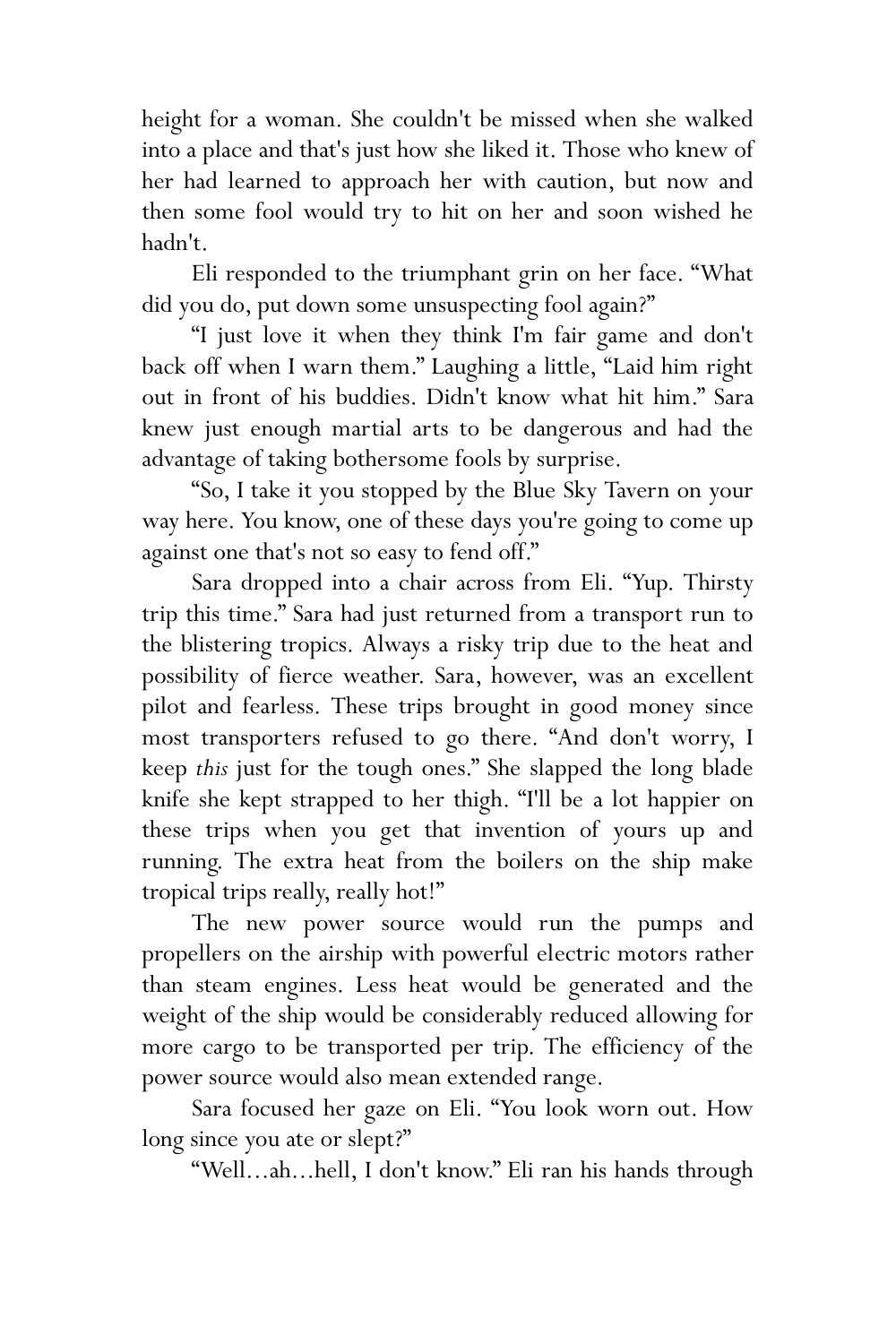height for a woman. She couldn't be missed when she walked into a place and that's just how she liked it. Those who knew of her had learned to approach her with caution, but now and then some fool would try to hit on her and soon wished he hadn't.

Eli responded to the triumphant grin on her face. "What did you do, put down some unsuspecting fool again?"

"I just love it when they think I'm fair game and don't back off when I warn them." Laughing a little, "Laid him right out in front of his buddies. Didn't know what hit him." Sara knew just enough martial arts to be dangerous and had the advantage of taking bothersome fools by surprise.

"So, I take it you stopped by the Blue Sky Tavern on your way here. You know, one of these days you're going to come up against one that's not so easy to fend off."

Sara dropped into a chair across from Eli. "Yup. Thirsty trip this time." Sara had just returned from a transport run to the blistering tropics. Always a risky trip due to the heat and possibility of fierce weather. Sara, however, was an excellent pilot and fearless. These trips brought in good money since most transporters refused to go there. "And don't worry, I keep *this* just for the tough ones." She slapped the long blade knife she kept strapped to her thigh. "I'll be a lot happier on these trips when you get that invention of yours up and running. The extra heat from the boilers on the ship make tropical trips really, really hot!"

The new power source would run the pumps and propellers on the airship with powerful electric motors rather than steam engines. Less heat would be generated and the weight of the ship would be considerably reduced allowing for more cargo to be transported per trip. The efficiency of the power source would also mean extended range.

Sara focused her gaze on Eli. "You look worn out. How long since you ate or slept?"

"Well...ah...hell, I don't know." Eli ran his hands through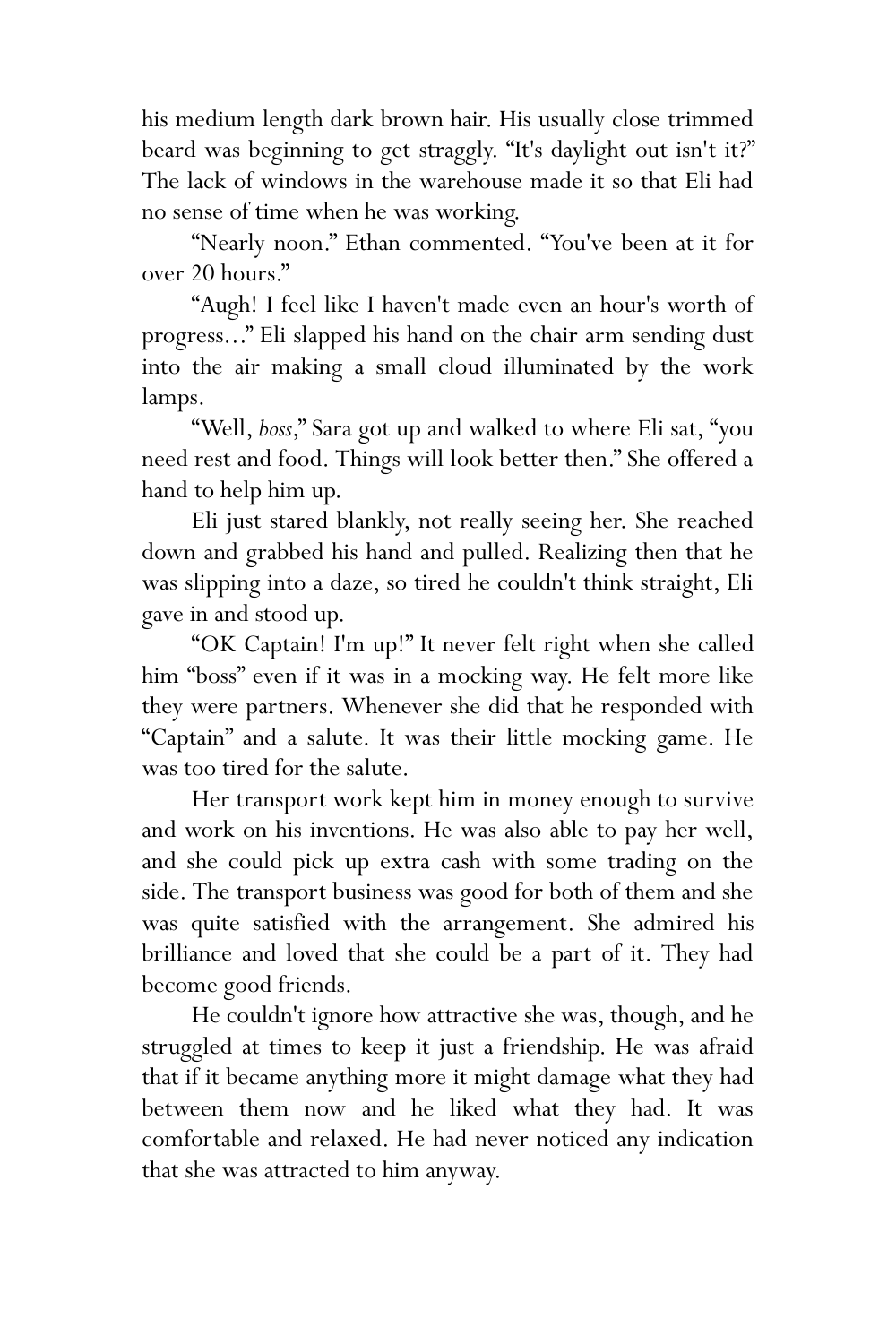his medium length dark brown hair. His usually close trimmed beard was beginning to get straggly. "It's daylight out isn't it?" The lack of windows in the warehouse made it so that Eli had no sense of time when he was working.

"Nearly noon." Ethan commented. "You've been at it for over 20 hours."

"Augh! I feel like I haven't made even an hour's worth of progress..." Eli slapped his hand on the chair arm sending dust into the air making a small cloud illuminated by the work lamps.

"Well, *boss*," Sara got up and walked to where Eli sat, "you need rest and food. Things will look better then." She offered a hand to help him up.

Eli just stared blankly, not really seeing her. She reached down and grabbed his hand and pulled. Realizing then that he was slipping into a daze, so tired he couldn't think straight, Eli gave in and stood up.

"OK Captain! I'm up!" It never felt right when she called him "boss" even if it was in a mocking way. He felt more like they were partners. Whenever she did that he responded with "Captain" and a salute. It was their little mocking game. He was too tired for the salute.

Her transport work kept him in money enough to survive and work on his inventions. He was also able to pay her well, and she could pick up extra cash with some trading on the side. The transport business was good for both of them and she was quite satisfied with the arrangement. She admired his brilliance and loved that she could be a part of it. They had become good friends.

He couldn't ignore how attractive she was, though, and he struggled at times to keep it just a friendship. He was afraid that if it became anything more it might damage what they had between them now and he liked what they had. It was comfortable and relaxed. He had never noticed any indication that she was attracted to him anyway.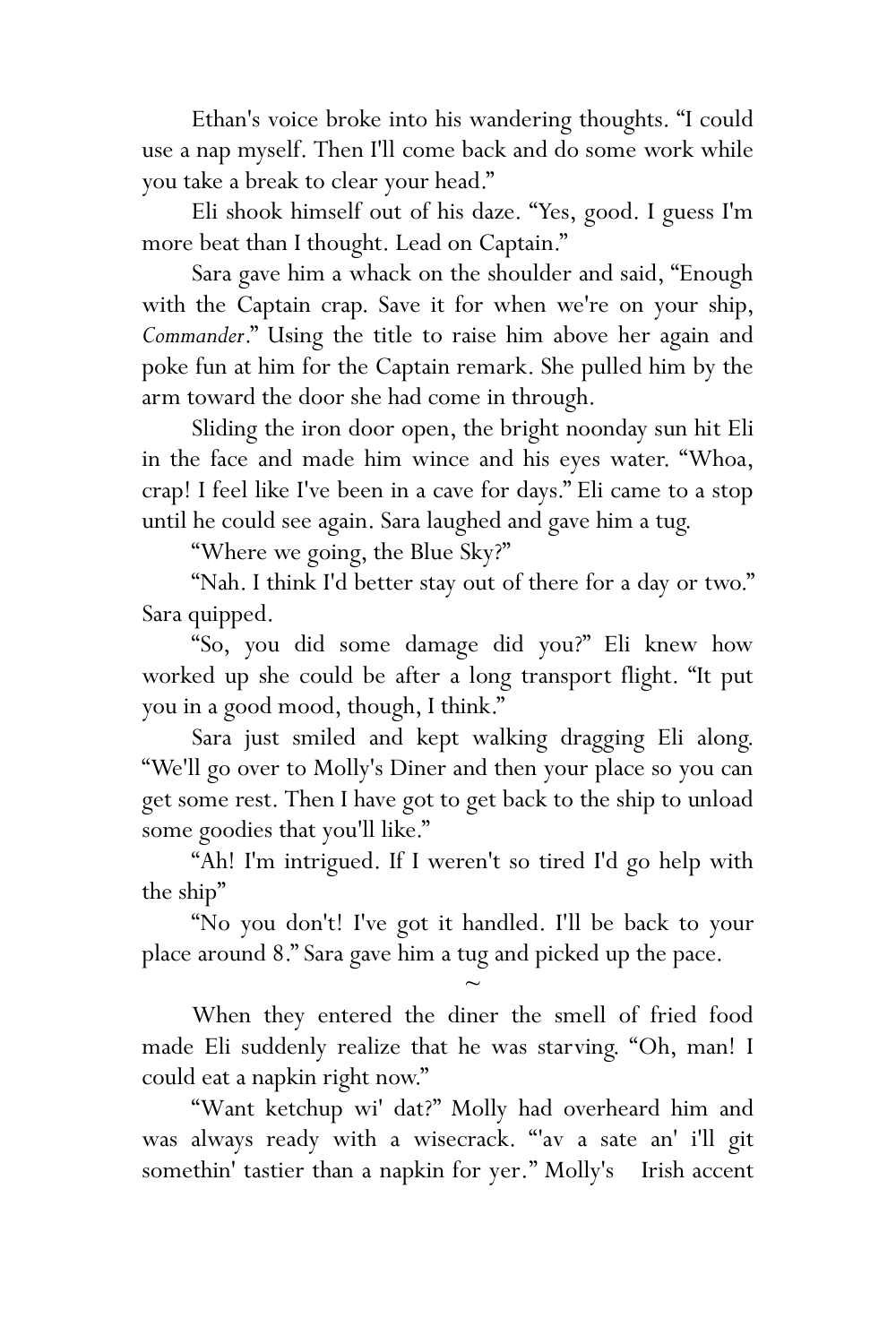Ethan's voice broke into his wandering thoughts. "I could use a nap myself. Then I'll come back and do some work while you take a break to clear your head."

Eli shook himself out of his daze. "Yes, good. I guess I'm more beat than I thought. Lead on Captain."

Sara gave him a whack on the shoulder and said, "Enough with the Captain crap. Save it for when we're on your ship, *Commander*." Using the title to raise him above her again and poke fun at him for the Captain remark. She pulled him by the arm toward the door she had come in through.

Sliding the iron door open, the bright noonday sun hit Eli in the face and made him wince and his eyes water. "Whoa, crap! I feel like I've been in a cave for days." Eli came to a stop until he could see again. Sara laughed and gave him a tug.

"Where we going, the Blue Sky?"

"Nah. I think I'd better stay out of there for a day or two." Sara quipped.

"So, you did some damage did you?" Eli knew how worked up she could be after a long transport flight. "It put you in a good mood, though, I think."

Sara just smiled and kept walking dragging Eli along. "We'll go over to Molly's Diner and then your place so you can get some rest. Then I have got to get back to the ship to unload some goodies that you'll like."

"Ah! I'm intrigued. If I weren't so tired I'd go help with the ship"

"No you don't! I've got it handled. I'll be back to your place around 8." Sara gave him a tug and picked up the pace.

 $\sim$ 

When they entered the diner the smell of fried food made Eli suddenly realize that he was starving. "Oh, man! I could eat a napkin right now."

"Want ketchup wi' dat?" Molly had overheard him and was always ready with a wisecrack. "'av a sate an' i'll git somethin' tastier than a napkin for yer." Molly's Irish accent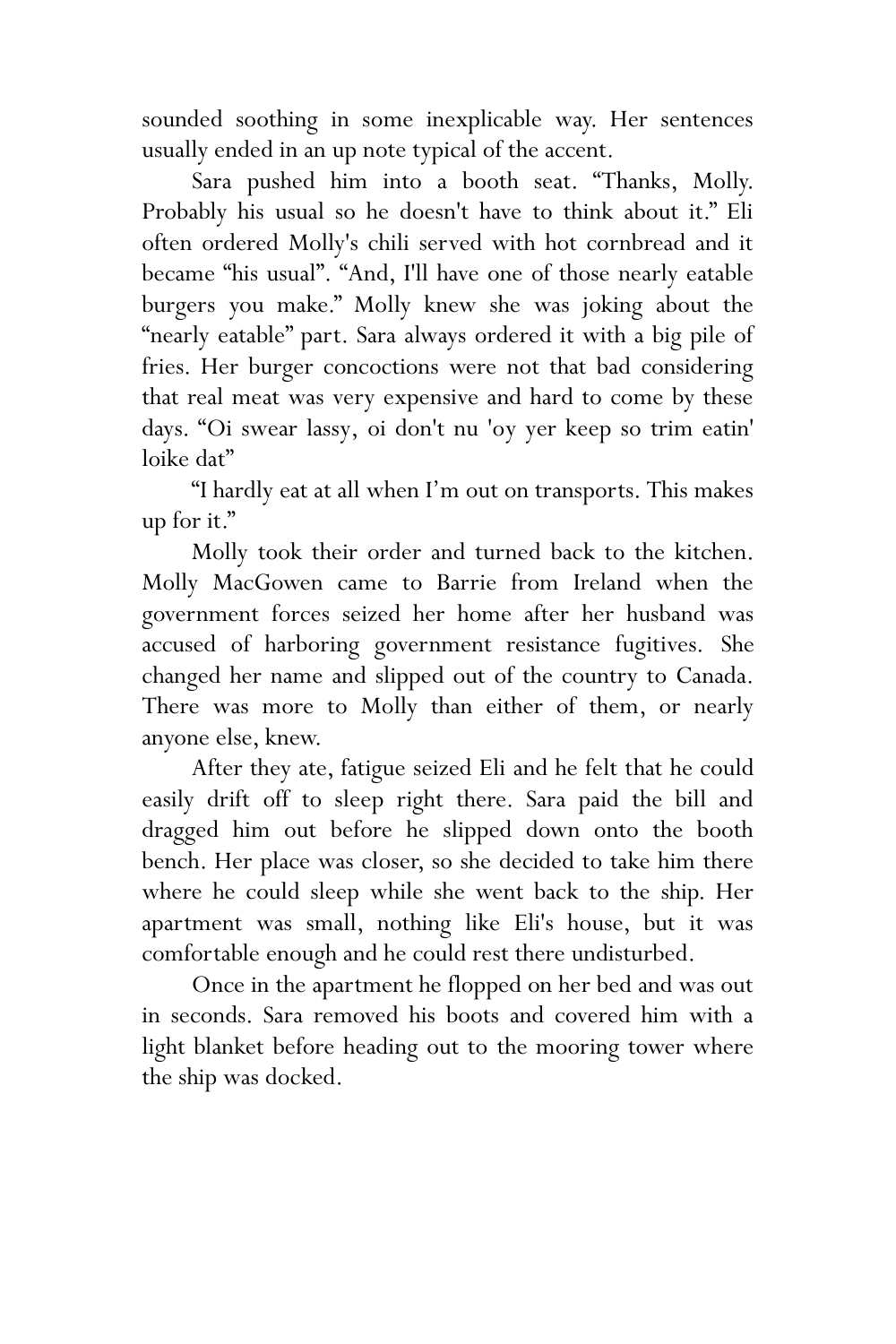sounded soothing in some inexplicable way. Her sentences usually ended in an up note typical of the accent.

Sara pushed him into a booth seat. "Thanks, Molly. Probably his usual so he doesn't have to think about it." Eli often ordered Molly's chili served with hot cornbread and it became "his usual". "And, I'll have one of those nearly eatable burgers you make." Molly knew she was joking about the "nearly eatable" part. Sara always ordered it with a big pile of fries. Her burger concoctions were not that bad considering that real meat was very expensive and hard to come by these days. "Oi swear lassy, oi don't nu 'oy yer keep so trim eatin' loike dat"

"I hardly eat at all when I'm out on transports. This makes up for it."

Molly took their order and turned back to the kitchen. Molly MacGowen came to Barrie from Ireland when the government forces seized her home after her husband was accused of harboring government resistance fugitives. She changed her name and slipped out of the country to Canada. There was more to Molly than either of them, or nearly anyone else, knew.

After they ate, fatigue seized Eli and he felt that he could easily drift off to sleep right there. Sara paid the bill and dragged him out before he slipped down onto the booth bench. Her place was closer, so she decided to take him there where he could sleep while she went back to the ship. Her apartment was small, nothing like Eli's house, but it was comfortable enough and he could rest there undisturbed.

Once in the apartment he flopped on her bed and was out in seconds. Sara removed his boots and covered him with a light blanket before heading out to the mooring tower where the ship was docked.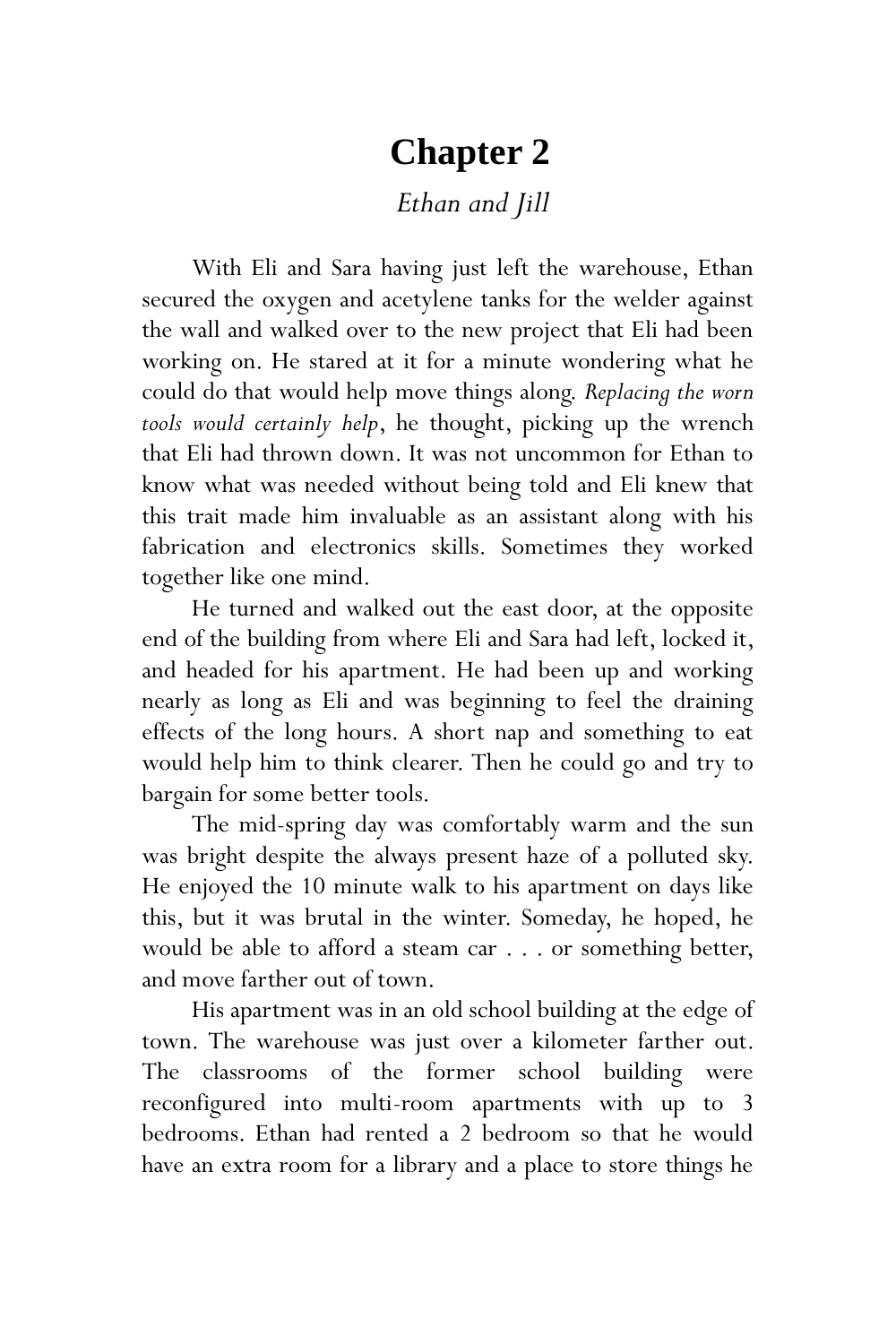# **Chapter 2**

*Ethan and Jill*

With Eli and Sara having just left the warehouse, Ethan secured the oxygen and acetylene tanks for the welder against the wall and walked over to the new project that Eli had been working on. He stared at it for a minute wondering what he could do that would help move things along. *Replacing the worn tools would certainly help*, he thought, picking up the wrench that Eli had thrown down. It was not uncommon for Ethan to know what was needed without being told and Eli knew that this trait made him invaluable as an assistant along with his fabrication and electronics skills. Sometimes they worked together like one mind.

He turned and walked out the east door, at the opposite end of the building from where Eli and Sara had left, locked it, and headed for his apartment. He had been up and working nearly as long as Eli and was beginning to feel the draining effects of the long hours. A short nap and something to eat would help him to think clearer. Then he could go and try to bargain for some better tools.

The mid-spring day was comfortably warm and the sun was bright despite the always present haze of a polluted sky. He enjoyed the 10 minute walk to his apartment on days like this, but it was brutal in the winter. Someday, he hoped, he would be able to afford a steam car . . . or something better, and move farther out of town.

His apartment was in an old school building at the edge of town. The warehouse was just over a kilometer farther out. The classrooms of the former school building were reconfigured into multi-room apartments with up to 3 bedrooms. Ethan had rented a 2 bedroom so that he would have an extra room for a library and a place to store things he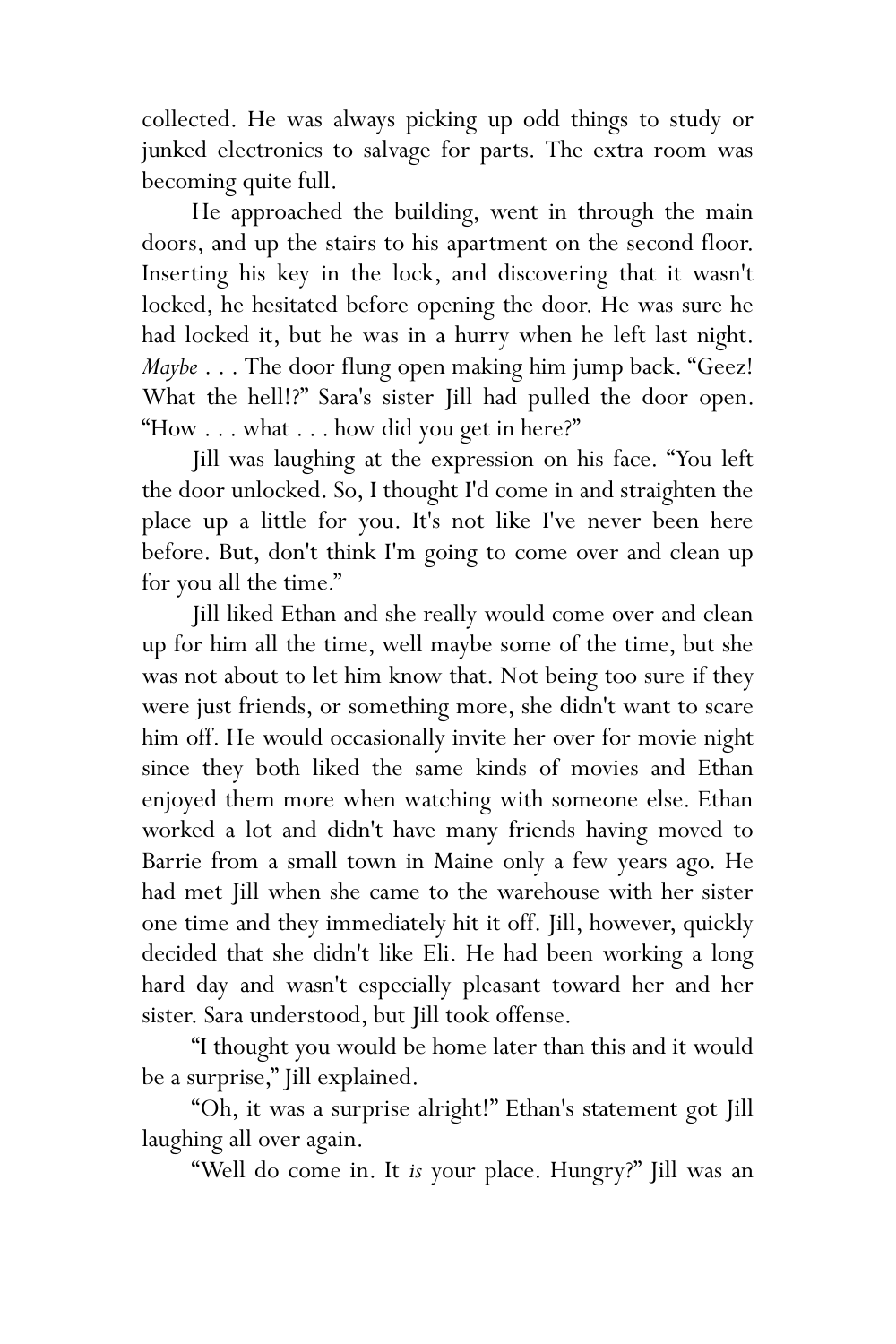collected. He was always picking up odd things to study or junked electronics to salvage for parts. The extra room was becoming quite full.

He approached the building, went in through the main doors, and up the stairs to his apartment on the second floor. Inserting his key in the lock, and discovering that it wasn't locked, he hesitated before opening the door. He was sure he had locked it, but he was in a hurry when he left last night. *Maybe* . . . The door flung open making him jump back. "Geez! What the hell!?" Sara's sister Jill had pulled the door open. "How . . . what . . . how did you get in here?"

Jill was laughing at the expression on his face. "You left the door unlocked. So, I thought I'd come in and straighten the place up a little for you. It's not like I've never been here before. But, don't think I'm going to come over and clean up for you all the time."

Jill liked Ethan and she really would come over and clean up for him all the time, well maybe some of the time, but she was not about to let him know that. Not being too sure if they were just friends, or something more, she didn't want to scare him off. He would occasionally invite her over for movie night since they both liked the same kinds of movies and Ethan enjoyed them more when watching with someone else. Ethan worked a lot and didn't have many friends having moved to Barrie from a small town in Maine only a few years ago. He had met Jill when she came to the warehouse with her sister one time and they immediately hit it off. Jill, however, quickly decided that she didn't like Eli. He had been working a long hard day and wasn't especially pleasant toward her and her sister. Sara understood, but Jill took offense.

"I thought you would be home later than this and it would be a surprise," Jill explained.

"Oh, it was a surprise alright!" Ethan's statement got Jill laughing all over again.

"Well do come in. It *is* your place. Hungry?" Jill was an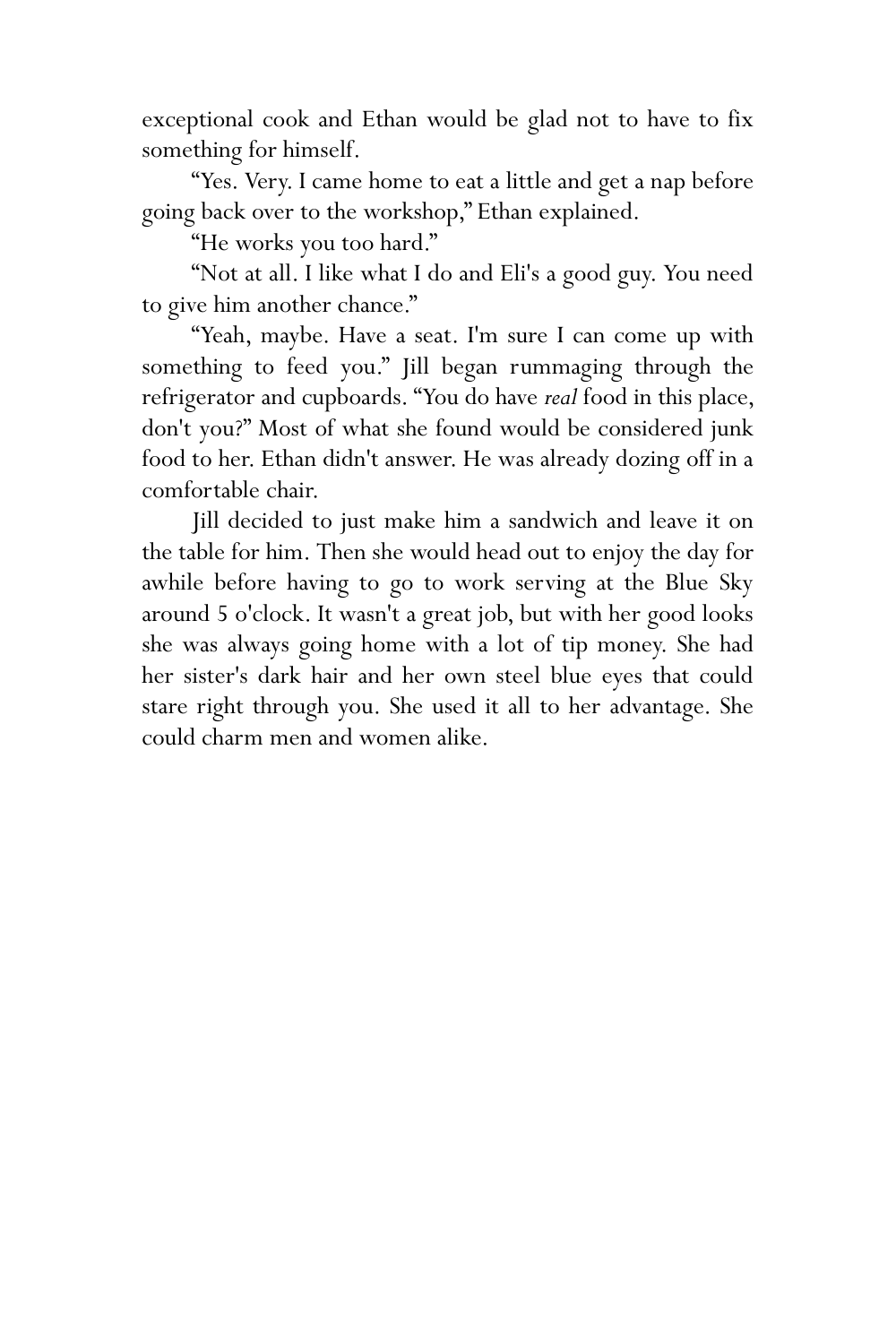exceptional cook and Ethan would be glad not to have to fix something for himself.

"Yes. Very. I came home to eat a little and get a nap before going back over to the workshop," Ethan explained.

"He works you too hard."

"Not at all. I like what I do and Eli's a good guy. You need to give him another chance."

"Yeah, maybe. Have a seat. I'm sure I can come up with something to feed you." Jill began rummaging through the refrigerator and cupboards. "You do have *real* food in this place, don't you?" Most of what she found would be considered junk food to her. Ethan didn't answer. He was already dozing off in a comfortable chair.

Jill decided to just make him a sandwich and leave it on the table for him. Then she would head out to enjoy the day for awhile before having to go to work serving at the Blue Sky around 5 o'clock. It wasn't a great job, but with her good looks she was always going home with a lot of tip money. She had her sister's dark hair and her own steel blue eyes that could stare right through you. She used it all to her advantage. She could charm men and women alike.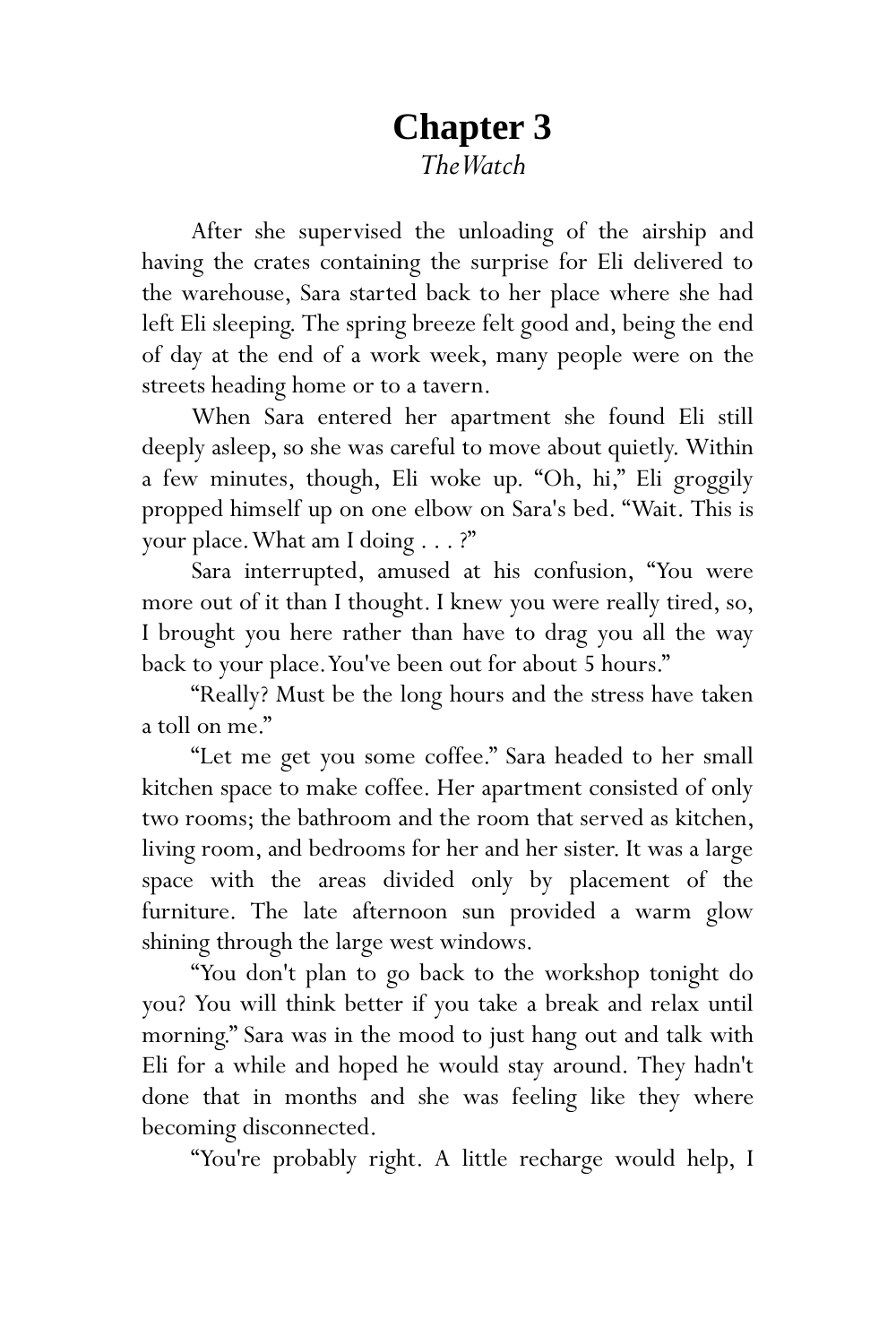# **Chapter 3** *The Watch*

After she supervised the unloading of the airship and having the crates containing the surprise for Eli delivered to the warehouse, Sara started back to her place where she had left Eli sleeping. The spring breeze felt good and, being the end of day at the end of a work week, many people were on the streets heading home or to a tavern.

When Sara entered her apartment she found Eli still deeply asleep, so she was careful to move about quietly. Within a few minutes, though, Eli woke up. "Oh, hi," Eli groggily propped himself up on one elbow on Sara's bed. "Wait. This is your place. What am I doing . . . ?"

Sara interrupted, amused at his confusion, "You were more out of it than I thought. I knew you were really tired, so, I brought you here rather than have to drag you all the way back to your place.You've been out for about 5 hours."

"Really? Must be the long hours and the stress have taken a toll on me."

"Let me get you some coffee." Sara headed to her small kitchen space to make coffee. Her apartment consisted of only two rooms; the bathroom and the room that served as kitchen, living room, and bedrooms for her and her sister. It was a large space with the areas divided only by placement of the furniture. The late afternoon sun provided a warm glow shining through the large west windows.

"You don't plan to go back to the workshop tonight do you? You will think better if you take a break and relax until morning." Sara was in the mood to just hang out and talk with Eli for a while and hoped he would stay around. They hadn't done that in months and she was feeling like they where becoming disconnected.

"You're probably right. A little recharge would help, I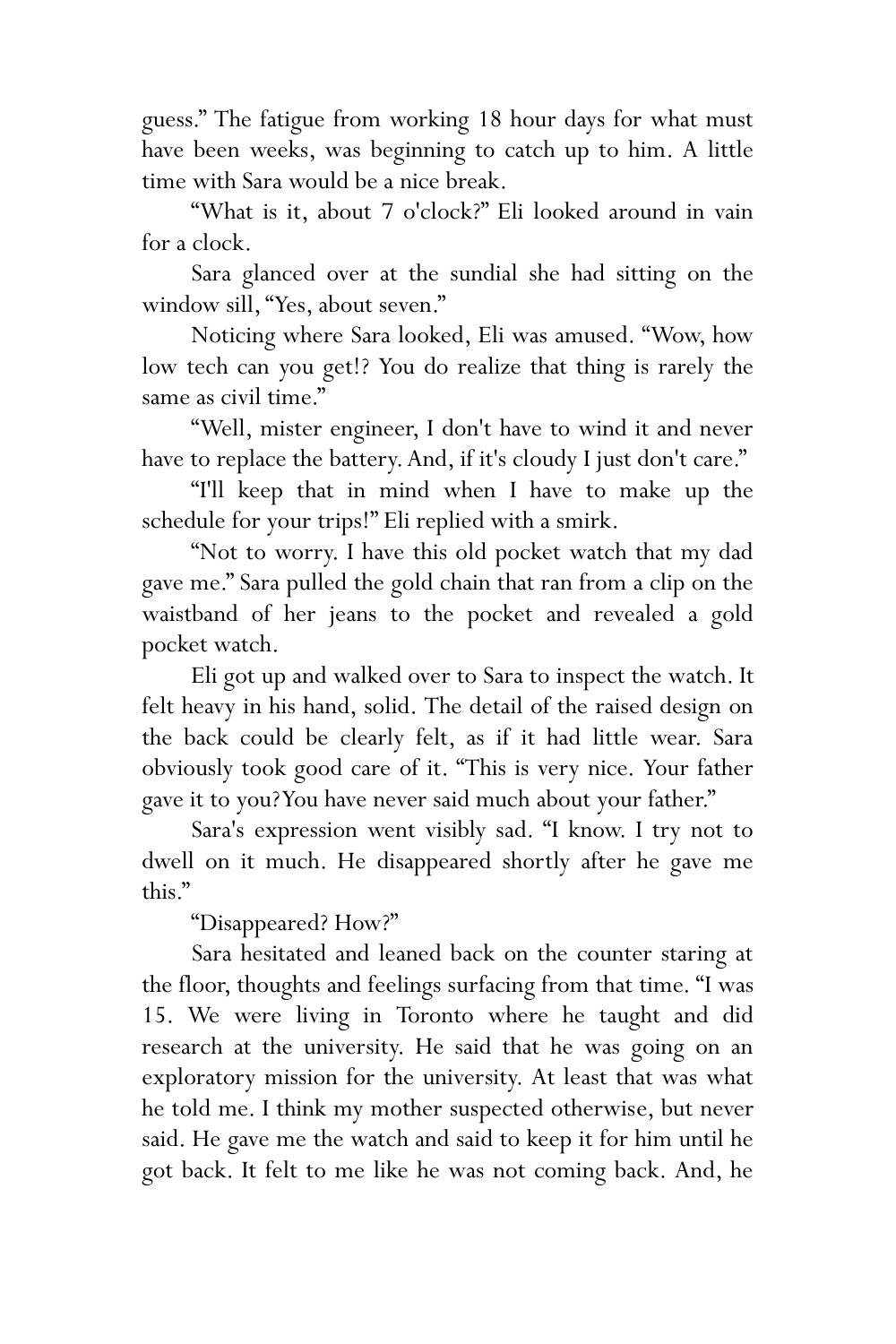guess." The fatigue from working 18 hour days for what must have been weeks, was beginning to catch up to him. A little time with Sara would be a nice break.

"What is it, about 7 o'clock?" Eli looked around in vain for a clock.

Sara glanced over at the sundial she had sitting on the window sill, "Yes, about seven."

Noticing where Sara looked, Eli was amused. "Wow, how low tech can you get!? You do realize that thing is rarely the same as civil time."

"Well, mister engineer, I don't have to wind it and never have to replace the battery. And, if it's cloudy I just don't care."

"I'll keep that in mind when I have to make up the schedule for your trips!" Eli replied with a smirk.

"Not to worry. I have this old pocket watch that my dad gave me." Sara pulled the gold chain that ran from a clip on the waistband of her jeans to the pocket and revealed a gold pocket watch.

Eli got up and walked over to Sara to inspect the watch. It felt heavy in his hand, solid. The detail of the raised design on the back could be clearly felt, as if it had little wear. Sara obviously took good care of it. "This is very nice. Your father gave it to you? You have never said much about your father."

Sara's expression went visibly sad. "I know. I try not to dwell on it much. He disappeared shortly after he gave me this."

"Disappeared? How?"

Sara hesitated and leaned back on the counter staring at the floor, thoughts and feelings surfacing from that time. "I was 15. We were living in Toronto where he taught and did research at the university. He said that he was going on an exploratory mission for the university. At least that was what he told me. I think my mother suspected otherwise, but never said. He gave me the watch and said to keep it for him until he got back. It felt to me like he was not coming back. And, he